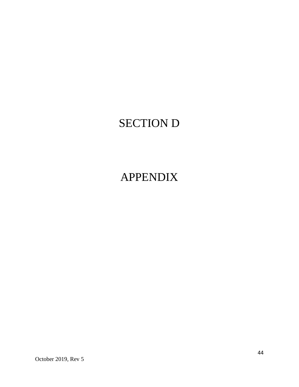# SECTION D

# APPENDIX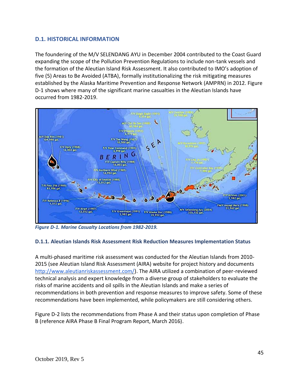#### **D.1. HISTORICAL INFORMATION**

The foundering of the M/V SELENDANG AYU in December 2004 contributed to the Coast Guard expanding the scope of the Pollution Prevention Regulations to include non-tank vessels and the formation of the Aleutian Island Risk Assessment. It also contributed to IMO's adoption of five (5) Areas to Be Avoided (ATBA), formally institutionalizing the risk mitigating measures established by the Alaska Maritime Prevention and Response Network (AMPRN) in 2012. Figure D-1 shows where many of the significant marine casualties in the Aleutian Islands have occurred from 1982-2019.



*Figure D-1. Marine Casualty Locations from 1982-2019.*

#### **D.1.1. Aleutian Islands Risk Assessment Risk Reduction Measures Implementation Status**

A multi-phased maritime risk assessment was conducted for the Aleutian Islands from 2010- 2015 (see Aleutian Island Risk Assessment (AIRA) website for project history and document[s](http://www.aleutianriskassessment.com/) [http://www.aleutianriskassessment.com/\)](http://www.aleutianriskassessment.com/). The AIRA utilized a combination of peer-reviewed technical analysis and expert knowledge from a diverse group of stakeholders to evaluate the risks of marine accidents and oil spills in the Aleutian Islands and make a series of recommendations in both prevention and response measures to improve safety. Some of these recommendations have been implemented, while policymakers are still considering others.

Figure D-2 lists the recommendations from Phase A and their status upon completion of Phase B (reference AIRA Phase B Final Program Report, March 2016).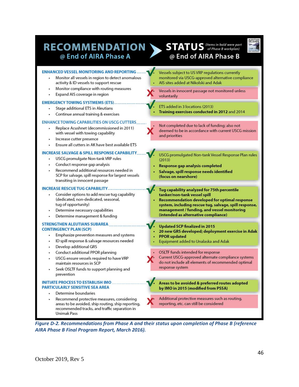## RECOMMENDATION @ End of AIRA Phase A

### $\sum$  STATUS (Items in bold were part @ End of AIRA Phase B



#### **ENHANCED VESSEL MONITORING AND REPORTING...** Vessels subject to US VRP regulations currently Monitor all vessels in region to detect anomalous monitored via USCG-approved alternative compliance activity & ID vessels to support rescue AIS sites added at Nikolski and Adak Monitor compliance with routing measures Vessels in innocent passage not monitored unless Expand AIS coverage in region voluntarily **EMERGENCY TOWING SYSTMEMS (ETS).** ETS added in 3 locations (2013) **Stage additional ETS in Aleutians** Training exercises conducted in 2012 and 2014 Continue annual training & exercises **ENHANCE TOWING CAPABILITIES ON USCG CUTTERS** Not completed due to lack of funding; also not Replace Acushnet (decommissioned in 2011) deemed to be in accordance with current USCG mission with vessel with towing capability and priorities Increase cutter presence Ensure all cutters in AK have best available ETS **INCREASE SALVAGE & SPILL RESPONSE CAPABILITY** USCG promulgated Non-tank Vessel Response Plan rules **USCG** promulgate Non-tank VRP rules  $(2013)$ Conduct response gap analysis Response gap analysis completed Recommend additional resources needed in Salvage, spill response needs identified SCP for salvage, spill response for largest vessels (focus on nearshore) transiting in innocent passage **INCREASE RESCUE TUG CAPABILITY........** Tug capability analyzed for 75th percentile Consider options to add rescue tug capability tanker/non-tank vessel spill (dedicated, non-dedicated, seasonal, **Recommendation developed for optimal response** tug of opportunity) system, including rescue tug, salvage, spill response, management / funding, and vessel monitoring Determine necessary capabilities (intended as alternative compliance) Determine management & funding **STRENGTHEN ALEUTIANS SUBAREA Updated SCP finalized in 2015 CONTINGENCY PLAN (SCP)** 20 new GRS developed; deployment exercise in Adak Emphasize prevention measures and systems **PPOR** updated ID spill response & salvage resources needed Equipment added to Unalaska and Adak Develop additional GRS OSLTF funds intended for response Conduct additional PPOR planning Current USCG-approved alternate compliance systems USCG ensure vessels required to have VRP do not include all elements of recommended optimal maintain resources in SCP response system Seek OSLTF funds to support planning and prevention **INITIATE PROCESS TO ESTABLISH IMO** Areas to be avoided & preferred routes adopted PARTICULARLY SENSITIVE SEA AREA by IMO in 2015 (modified from PSSA) Determine boundaries Additional protective measures such as routing, Recommend protective measures, considering areas to be avoided, ship routing, ship reporting, reporting, etc. can still be considered recommended tracks, and traffic separation in

*Figure D-2. Recommendations from Phase A and their status upon completion of Phase B (reference AIRA Phase B Final Program Report, March 2016).*

**Unimak Pass**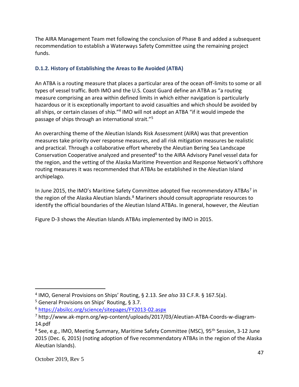The AIRA Management Team met following the conclusion of Phase B and added a subsequent recommendation to establish a Waterways Safety Committee using the remaining project funds.

#### **D.1.2. History of Establishing the Areas to Be Avoided (ATBA)**

An ATBA is a routing measure that places a particular area of the ocean off-limits to some or all types of vessel traffic. Both IMO and the U.S. Coast Guard define an ATBA as "a routing measure comprising an area within defined limits in which either navigation is particularly hazardous or it is exceptionally important to avoid casualties and which should be avoided by all ships, or certain classes of ship."<sup>4</sup> IMO will not adopt an ATBA "if it would impede the passage of ships through an international strait."<sup>5</sup>

An overarching theme of the Aleutian Islands Risk Assessment (AIRA) was that prevention measures take priority over response measures, and all risk mitigation measures be realistic and practical. Through a collaborative effort whereby the Aleutian Bering Sea Landscape Conservation Cooperative analyzed and presented<sup>6</sup> to the AIRA Advisory Panel vessel data for the region, and the vetting of the Alaska Maritime Prevention and Response Network's offshore routing measures it was recommended that ATBAs be established in the Aleutian Island archipelago.

In June 2015, the IMO's Maritime Safety Committee adopted five recommendatory ATBAs<sup>7</sup> in the region of the Alaska Aleutian Islands.<sup>8</sup> Mariners should consult appropriate resources to identify the official boundaries of the Aleutian Island ATBAs. In general, however, the Aleutian

Figure D-3 shows the Aleutian Islands ATBAs implemented by IMO in 2015.

<sup>4</sup> IMO, General Provisions on Ships' Routing, § 2.13. *See also* 33 C.F.R. § 167.5(a).

<sup>5</sup> General Provisions on Ships' Routing, § 3.7.

<sup>6</sup> <https://absilcc.org/science/sitepages/FY2013-02.aspx>

<sup>7</sup> http://www.ak-mprn.org/wp-content/uploads/2017/03/Aleutian-ATBA-Coords-w-diagram-14.pdf

<sup>&</sup>lt;sup>8</sup> See, e.g., IMO, Meeting Summary, Maritime Safety Committee (MSC), 95<sup>th</sup> Session, 3-12 June 2015 (Dec. 6, 2015) (noting adoption of five recommendatory ATBAs in the region of the Alaska Aleutian Islands).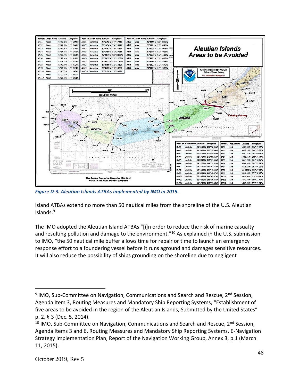

*Figure D-3. Aleutian Islands ATBAs implemented by IMO in 2015.*

Island ATBAs extend no more than 50 nautical miles from the shoreline of the U.S. Aleutian Islands.<sup>9</sup>

The IMO adopted the Aleutian Island ATBAs "[i]n order to reduce the risk of marine casualty and resulting pollution and damage to the environment."<sup>10</sup> As explained in the U.S. submission to IMO, "the 50 nautical mile buffer allows time for repair or time to launch an emergency response effort to a foundering vessel before it runs aground and damages sensitive resources. It will also reduce the possibility of ships grounding on the shoreline due to negligent

<sup>&</sup>lt;sup>9</sup> IMO, Sub-Committee on Navigation, Communications and Search and Rescue, 2<sup>nd</sup> Session, Agenda Item 3, Routing Measures and Mandatory Ship Reporting Systems, "Establishment of five areas to be avoided in the region of the Aleutian Islands, Submitted by the United States" p. 2, § 3 (Dec. 5, 2014).

 $10$  IMO, Sub-Committee on Navigation, Communications and Search and Rescue,  $2<sup>nd</sup>$  Session, Agenda Items 3 and 6, Routing Measures and Mandatory Ship Reporting Systems, E-Navigation Strategy Implementation Plan, Report of the Navigation Working Group, Annex 3, p.1 (March 11, 2015).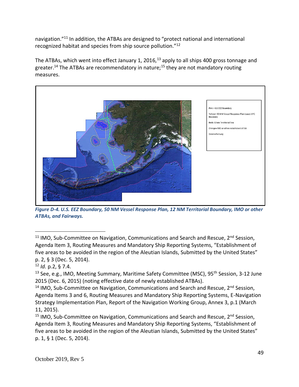navigation."<sup>11</sup> In addition, the ATBAs are designed to "protect national and international recognized habitat and species from ship source pollution."<sup>12</sup>

The ATBAs, which went into effect January 1, 2016,<sup>13</sup> apply to all ships 400 gross tonnage and greater.<sup>14</sup> The ATBAs are recommendatory in nature;<sup>15</sup> they are not mandatory routing measures.



*Figure D-4. U.S. EEZ Boundary, 50 NM Vessel Response Plan, 12 NM Territorial Boundary, IMO or other ATBAs, and Fairways.*

<sup>12</sup> *Id.* p.2, § 7.4.

<sup>13</sup> See, e.g., IMO, Meeting Summary, Maritime Safety Committee (MSC), 95<sup>th</sup> Session, 3-12 June 2015 (Dec. 6, 2015) (noting effective date of newly established ATBAs).

<sup>14</sup> IMO, Sub-Committee on Navigation, Communications and Search and Rescue,  $2<sup>nd</sup>$  Session, Agenda Items 3 and 6, Routing Measures and Mandatory Ship Reporting Systems, E-Navigation Strategy Implementation Plan, Report of the Navigation Working Group, Annex 3, p.1 (March 11, 2015).

<sup>15</sup> IMO, Sub-Committee on Navigation, Communications and Search and Rescue,  $2^{nd}$  Session, Agenda Item 3, Routing Measures and Mandatory Ship Reporting Systems, "Establishment of five areas to be avoided in the region of the Aleutian Islands, Submitted by the United States" p. 1, § 1 (Dec. 5, 2014).

<sup>&</sup>lt;sup>11</sup> IMO, Sub-Committee on Navigation, Communications and Search and Rescue,  $2^{nd}$  Session, Agenda Item 3, Routing Measures and Mandatory Ship Reporting Systems, "Establishment of five areas to be avoided in the region of the Aleutian Islands, Submitted by the United States" p. 2, § 3 (Dec. 5, 2014).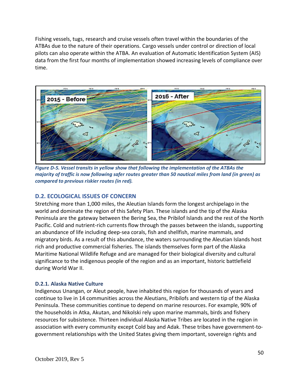Fishing vessels, tugs, research and cruise vessels often travel within the boundaries of the ATBAs due to the nature of their operations. Cargo vessels under control or direction of local pilots can also operate within the ATBA. An evaluation of Automatic Identification System (AIS) data from the first four months of implementation showed increasing levels of compliance over time.



*Figure D-5. Vessel transits in yellow show that following the implementation of the ATBAs the majority of traffic is now following safer routes greater than 50 nautical miles from land (in green) as compared to previous riskier routes (in red).* 

#### **D.2. ECOLOGICAL ISSUES OF CONCERN**

Stretching more than 1,000 miles, the Aleutian Islands form the longest archipelago in the world and dominate the region of this Safety Plan. These islands and the tip of the Alaska Peninsula are the gateway between the Bering Sea, the Pribilof Islands and the rest of the North Pacific. Cold and nutrient-rich currents flow through the passes between the islands, supporting an abundance of life including deep-sea corals, fish and shellfish, marine mammals, and migratory birds. As a result of this abundance, the waters surrounding the Aleutian Islands host rich and productive commercial fisheries. The islands themselves form part of the Alaska Maritime National Wildlife Refuge and are managed for their biological diversity and cultural significance to the indigenous people of the region and as an important, historic battlefield during World War II.

#### **D.2.1. Alaska Native Culture**

Indigenous Unangan, or Aleut people, have inhabited this region for thousands of years and continue to live in 14 communities across the Aleutians, Pribilofs and western tip of the Alaska Peninsula. These communities continue to depend on marine resources. For example, 90% of the households in Atka, Akutan, and Nikolski rely upon marine mammals, birds and fishery resources for subsistence. Thirteen individual Alaska Native Tribes are located in the region in association with every community except Cold bay and Adak. These tribes have government-togovernment relationships with the United States giving them important, sovereign rights and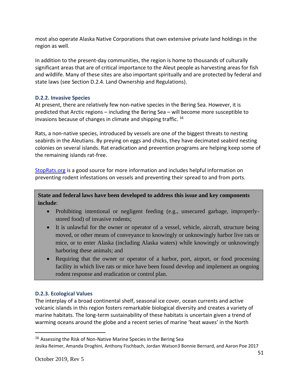most also operate Alaska Native Corporations that own extensive private land holdings in the region as well.

In addition to the present-day communities, the region is home to thousands of culturally significant areas that are of critical importance to the Aleut people as harvesting areas for fish and wildlife. Many of these sites are also important spiritually and are protected by federal and state laws (see Section D.2.4. Land Ownership and Regulations).

#### **D.2.2. Invasive Species**

At present, there are relatively few non-native species in the Bering Sea. However, it is predicted that Arctic regions – including the Bering Sea – will become more susceptible to invasions because of changes in climate and shipping traffic. <sup>16</sup>

Rats, a non-native species, introduced by vessels are one of the biggest threats to nesting seabirds in the Aleutians. By preying on eggs and chicks, they have decimated seabird nesting colonies on several islands. Rat eradication and prevention programs are helping keep some of the remaining islands rat-free.

[StopRats.org](http://stoprats.org/) is a good source for more information and includes helpful information on preventing rodent infestations on vessels and preventing their spread to and from ports.

**State and federal laws have been developed to address this issue and key components include**:

- Prohibiting intentional or negligent feeding (e.g., unsecured garbage, improperlystored food) of invasive rodents;
- It is unlawful for the owner or operator of a vessel, vehicle, aircraft, structure being moved, or other means of conveyance to knowingly or unknowingly harbor live rats or mice, or to enter Alaska (including Alaska waters) while knowingly or unknowingly harboring these animals; and
- Requiring that the owner or operator of a harbor, port, airport, or food processing facility in which live rats or mice have been found develop and implement an ongoing rodent response and eradication or control plan.

#### **D.2.3. Ecological Values**

The interplay of a broad continental shelf, seasonal ice cover, ocean currents and active volcanic islands in this region fosters remarkable biological diversity and creates a variety of marine habitats. The long-term sustainability of these habitats is uncertain given a trend of warming oceans around the globe and a recent series of marine 'heat waves' in the North

<sup>&</sup>lt;sup>16</sup> Assessing the Risk of Non-Native Marine Species in the Bering Sea Jesika Reimer, Amanda Droghini, Anthony Fischbach, Jordan Watson3 Bonnie Bernard, and Aaron Poe 2017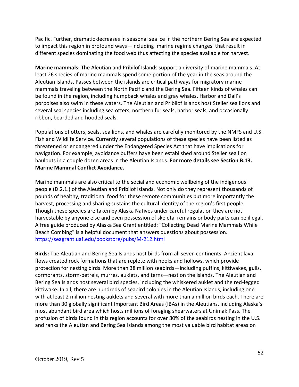Pacific. Further, dramatic decreases in seasonal sea ice in the northern Bering Sea are expected to impact this region in profound ways—including 'marine regime changes' that result in different species dominating the food web thus affecting the species available for harvest.

**Marine mammals:** The Aleutian and Pribilof Islands support a diversity of marine mammals. At least 26 species of marine mammals spend some portion of the year in the seas around the Aleutian Islands. Passes between the islands are critical pathways for migratory marine mammals traveling between the North Pacific and the Bering Sea. Fifteen kinds of whales can be found in the region, including humpback whales and gray whales. Harbor and Dall's porpoises also swim in these waters. The Aleutian and Pribilof Islands host Steller sea lions and several seal species including sea otters, northern fur seals, harbor seals, and occasionally ribbon, bearded and hooded seals.

Populations of otters, seals, sea lions, and whales are carefully monitored by the NMFS and U.S. Fish and Wildlife Service. Currently several populations of these species have been listed as threatened or endangered under the Endangered Species Act that have implications for navigation. For example, avoidance buffers have been established around Steller sea lion haulouts in a couple dozen areas in the Aleutian Islands. **For more details see Section B.13. Marine Mammal Conflict Avoidance.** 

Marine mammals are also critical to the social and economic wellbeing of the indigenous people (D.2.1.) of the Aleutian and Pribilof Islands. Not only do they represent thousands of pounds of healthy, traditional food for these remote communities but more importantly the harvest, processing and sharing sustains the cultural identity of the region's first people. Though these species are taken by Alaska Natives under careful regulation they are not harvestable by anyone else and even possession of skeletal remains or body parts can be illegal. A free guide produced by Alaska Sea Grant entitled: "Collecting Dead Marine Mammals While Beach Combing" is a helpful document that answers questions about possession. <https://seagrant.uaf.edu/bookstore/pubs/M-212.html>

**Birds:** The Aleutian and Bering Sea Islands host birds from all seven continents. Ancient lava flows created rock formations that are replete with nooks and hollows, which provide protection for nesting birds. More than 38 million seabirds—including puffins, kittiwakes, gulls, cormorants, storm-petrels, murres, auklets, and terns—nest on the islands. The Aleutian and Bering Sea Islands host several bird species, including the whiskered auklet and the red-legged kittiwake. In all, there are hundreds of seabird colonies in the Aleutian Islands, including one with at least 2 million nesting auklets and several with more than a million birds each. There are more than 30 globally significant Important Bird Areas (IBAs) in the Aleutians, including Alaska's most abundant bird area which hosts millions of foraging shearwaters at Unimak Pass. The profusion of birds found in this region accounts for over 80% of the seabirds nesting in the U.S. and ranks the Aleutian and Bering Sea Islands among the most valuable bird habitat areas on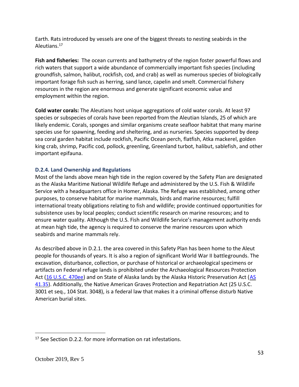Earth. Rats introduced by vessels are one of the biggest threats to nesting seabirds in the Aleutians.<sup>17</sup>

**Fish and fisheries:** The ocean currents and bathymetry of the region foster powerful flows and rich waters that support a wide abundance of commercially important fish species (including groundfish, salmon, halibut, rockfish, cod, and crab) as well as numerous species of biologically important forage fish such as herring, sand lance, capelin and smelt. Commercial fishery resources in the region are enormous and generate significant economic value and employment within the region.

**Cold water corals:** The Aleutians host unique aggregations of cold water corals. At least 97 species or subspecies of corals have been reported from the Aleutian Islands, 25 of which are likely endemic. Corals, sponges and similar organisms create seafloor habitat that many marine species use for spawning, feeding and sheltering, and as nurseries. Species supported by deep sea coral garden habitat include rockfish, Pacific Ocean perch, flatfish, Atka mackerel, golden king crab, shrimp, Pacific cod, pollock, greenling, Greenland turbot, halibut, sablefish, and other important epifauna.

#### **D.2.4. Land Ownership and Regulations**

Most of the lands above mean high tide in the region covered by the Safety Plan are designated as the Alaska Maritime National Wildlife Refuge and administered by the U.S. Fish & Wildlife Service with a headquarters office in Homer, Alaska. The Refuge was established, among other purposes, to conserve habitat for marine mammals, birds and marine resources; fulfill international treaty obligations relating to fish and wildlife; provide continued opportunities for subsistence uses by local peoples; conduct scientific research on marine resources; and to ensure water quality. Although the U.S. Fish and Wildlife Service's management authority ends at mean high tide, the agency is required to conserve the marine resources upon which seabirds and marine mammals rely.

As described above in D.2.1. the area covered in this Safety Plan has been home to the Aleut people for thousands of years. It is also a region of significant World War II battlegrounds. The excavation, disturbance, collection, or purchase of historical or archaeological specimens or artifacts on Federal refuge lands is prohibited under the Archaeological Resources Protection Act [\(16 U.S.C. 470ee\)](https://www.nps.gov/history/local-law/fhpl_archrsrcsprot.pdf) and on State of Alaska lands by the Alaska Historic Preservation Act [\(AS](http://touchngo.com/LGLCNTR/AKSTATS/Statutes/Title41/Chapter35/Section200.htm)  [41.35\)](http://touchngo.com/LGLCNTR/AKSTATS/Statutes/Title41/Chapter35/Section200.htm). Additionally, the Native American Graves Protection and Repatriation Act (25 U.S.C. 3001 et seq., 104 Stat. 3048), is a federal law that makes it a criminal offense disturb Native American burial sites.

 $17$  See Section D.2.2. for more information on rat infestations.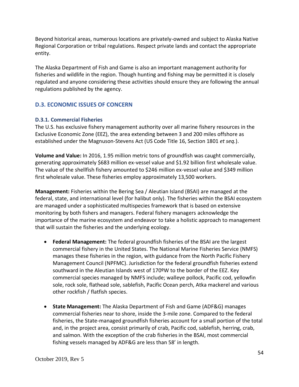Beyond historical areas, numerous locations are privately-owned and subject to Alaska Native Regional Corporation or tribal regulations. Respect private lands and contact the appropriate entity.

The Alaska Department of Fish and Game is also an important management authority for fisheries and wildlife in the region. Though hunting and fishing may be permitted it is closely regulated and anyone considering these activities should ensure they are following the annual regulations published by the agency.

#### **D.3. ECONOMIC ISSUES OF CONCERN**

#### **D.3.1. Commercial Fisheries**

The U.S. has exclusive fishery management authority over all marine fishery resources in the Exclusive Economic Zone (EEZ), the area extending between 3 and 200 miles offshore as established under the Magnuson-Stevens Act (US Code Title 16, Section 1801 *et seq.*).

**Volume and Value:** In 2016, 1.95 million metric tons of groundfish was caught commercially, generating approximately \$683 million ex-vessel value and \$1.92 billion first wholesale value. The value of the shellfish fishery amounted to \$246 million ex-vessel value and \$349 million first wholesale value. These fisheries employ approximately 13,500 workers.

**Management:** Fisheries within the Bering Sea / Aleutian Island (BSAI) are managed at the federal, state, and international level (for halibut only). The fisheries within the BSAI ecosystem are managed under a sophisticated multispecies framework that is based on extensive monitoring by both fishers and managers. Federal fishery managers acknowledge the importance of the marine ecosystem and endeavor to take a holistic approach to management that will sustain the fisheries and the underlying ecology.

- **Federal Management:** The federal groundfish fisheries of the BSAI are the largest commercial fishery in the United States. The National Marine Fisheries Service (NMFS) manages these fisheries in the region, with guidance from the North Pacific Fishery Management Council (NPFMC). Jurisdiction for the federal groundfish fisheries extend southward in the Aleutian Islands west of 170ºW to the border of the EEZ. Key commercial species managed by NMFS include; walleye pollock, Pacific cod, yellowfin sole, rock sole, flathead sole, sablefish, Pacific Ocean perch, Atka mackerel and various other rockfish / flatfish species.
- **State Management:** The Alaska Department of Fish and Game (ADF&G) manages commercial fisheries near to shore, inside the 3-mile zone. Compared to the federal fisheries, the State-managed groundfish fisheries account for a small portion of the total and, in the project area, consist primarily of crab, Pacific cod, sablefish, herring, crab, and salmon. With the exception of the crab fisheries in the BSAI, most commercial fishing vessels managed by ADF&G are less than 58' in length.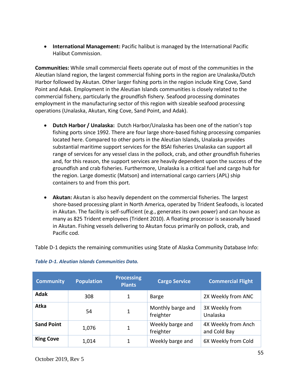• **International Management:** Pacific halibut is managed by the International Pacific Halibut Commission.

**Communities:** While small commercial fleets operate out of most of the communities in the Aleutian Island region, the largest commercial fishing ports in the region are Unalaska/Dutch Harbor followed by Akutan. Other larger fishing ports in the region include King Cove, Sand Point and Adak. Employment in the Aleutian Islands communities is closely related to the commercial fishery, particularly the groundfish fishery. Seafood processing dominates employment in the manufacturing sector of this region with sizeable seafood processing operations (Unalaska, Akutan, King Cove, Sand Point, and Adak).

- **Dutch Harbor / Unalaska:** Dutch Harbor/Unalaska has been one of the nation's top fishing ports since 1992. There are four large shore-based fishing processing companies located here. Compared to other ports in the Aleutian Islands, Unalaska provides substantial maritime support services for the BSAI fisheries Unalaska can support all range of services for any vessel class in the pollock, crab, and other groundfish fisheries and, for this reason, the support services are heavily dependent upon the success of the groundfish and crab fisheries. Furthermore, Unalaska is a critical fuel and cargo hub for the region. Large domestic (Matson) and international cargo carriers (APL) ship containers to and from this port.
- **Akutan:** Akutan is also heavily dependent on the commercial fisheries. The largest shore-based processing plant in North America, operated by Trident Seafoods, is located in Akutan. The facility is self-sufficient (e.g., generates its own power) and can house as many as 825 Trident employees (Trident 2010). A floating processor is seasonally based in Akutan. Fishing vessels delivering to Akutan focus primarily on pollock, crab, and Pacific cod.

Table D-1 depicts the remaining communities using State of Alaska Community Database Info:

| <b>Community</b>  | <b>Population</b> | <b>Processing</b><br><b>Plants</b> | <b>Cargo Service</b>           | <b>Commercial Flight</b>            |
|-------------------|-------------------|------------------------------------|--------------------------------|-------------------------------------|
| <b>Adak</b>       | 308               |                                    | <b>Barge</b>                   | 2X Weekly from ANC                  |
| <b>Atka</b>       | 54                | 1                                  | Monthly barge and<br>freighter | 3X Weekly from<br>Unalaska          |
| <b>Sand Point</b> | 1,076             |                                    | Weekly barge and<br>freighter  | 4X Weekly from Anch<br>and Cold Bay |
| <b>King Cove</b>  | 1,014             |                                    | Weekly barge and               | 6X Weekly from Cold                 |

#### *Table D-1. Aleutian Islands Communities Data.*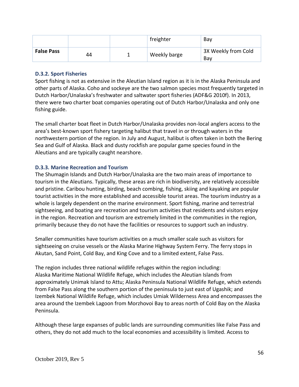|                   |    | freighter    | Bav                        |
|-------------------|----|--------------|----------------------------|
| <b>False Pass</b> | 44 | Weekly barge | 3X Weekly from Cold<br>Bav |

#### **D.3.2. Sport Fisheries**

Sport fishing is not as extensive in the Aleutian Island region as it is in the Alaska Peninsula and other parts of Alaska. Coho and sockeye are the two salmon species most frequently targeted in Dutch Harbor/Unalaska's freshwater and saltwater sport fisheries (ADF&G 2010f). In 2013, there were two charter boat companies operating out of Dutch Harbor/Unalaska and only one fishing guide.

The small charter boat fleet in Dutch Harbor/Unalaska provides non-local anglers access to the area's best-known sport fishery targeting halibut that travel in or through waters in the northwestern portion of the region. In July and August, halibut is often taken in both the Bering Sea and Gulf of Alaska. Black and dusty rockfish are popular game species found in the Aleutians and are typically caught nearshore.

#### **D.3.3. Marine Recreation and Tourism**

The Shumagin Islands and Dutch Harbor/Unalaska are the two main areas of importance to tourism in the Aleutians. Typically, these areas are rich in biodiversity, are relatively accessible and pristine. Caribou hunting, birding, beach combing, fishing, skiing and kayaking are popular tourist activities in the more established and accessible tourist areas. The tourism industry as a whole is largely dependent on the marine environment. Sport fishing, marine and terrestrial sightseeing, and boating are recreation and tourism activities that residents and visitors enjoy in the region. Recreation and tourism are extremely limited in the communities in the region, primarily because they do not have the facilities or resources to support such an industry.

Smaller communities have tourism activities on a much smaller scale such as visitors for sightseeing on cruise vessels or the Alaska Marine Highway System Ferry. The ferry stops in Akutan, Sand Point, Cold Bay, and King Cove and to a limited extent, False Pass.

The region includes three national wildlife refuges within the region including: Alaska Maritime National Wildlife Refuge, which includes the Aleutian Islands from approximately Unimak Island to Attu; Alaska Peninsula National Wildlife Refuge, which extends from False Pass along the southern portion of the peninsula to just east of Ugashik; and Izembek National Wildlife Refuge, which includes Umiak Wilderness Area and encompasses the area around the Izembek Lagoon from Morzhovoi Bay to areas north of Cold Bay on the Alaska Peninsula.

Although these large expanses of public lands are surrounding communities like False Pass and others, they do not add much to the local economies and accessibility is limited. Access to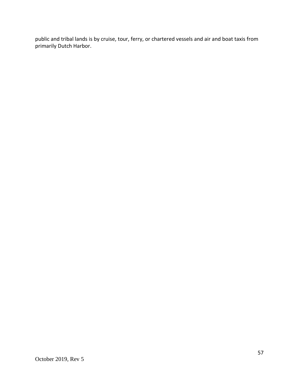public and tribal lands is by cruise, tour, ferry, or chartered vessels and air and boat taxis from primarily Dutch Harbor.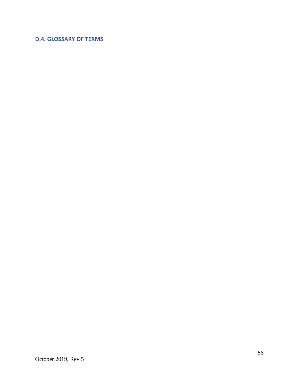### **D.4. GLOSSARY OF TERMS**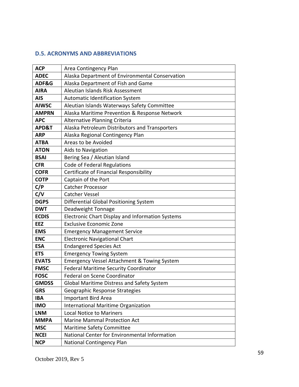#### **D.5. ACRONYMS AND ABBREVIATIONS**

| <b>ACP</b>   | Area Contingency Plan                                  |  |  |  |
|--------------|--------------------------------------------------------|--|--|--|
| <b>ADEC</b>  | Alaska Department of Environmental Conservation        |  |  |  |
| ADF&G        | Alaska Department of Fish and Game                     |  |  |  |
| <b>AIRA</b>  | Aleutian Islands Risk Assessment                       |  |  |  |
| <b>AIS</b>   | Automatic Identification System                        |  |  |  |
| <b>AIWSC</b> | Aleutian Islands Waterways Safety Committee            |  |  |  |
| <b>AMPRN</b> | Alaska Maritime Prevention & Response Network          |  |  |  |
| <b>APC</b>   | Alternative Planning Criteria                          |  |  |  |
| APD&T        | Alaska Petroleum Distributors and Transporters         |  |  |  |
| <b>ARP</b>   | Alaska Regional Contingency Plan                       |  |  |  |
| <b>ATBA</b>  | Areas to be Avoided                                    |  |  |  |
| <b>ATON</b>  | Aids to Navigation                                     |  |  |  |
| <b>BSAI</b>  | Bering Sea / Aleutian Island                           |  |  |  |
| <b>CFR</b>   | Code of Federal Regulations                            |  |  |  |
| <b>COFR</b>  | Certificate of Financial Responsibility                |  |  |  |
| <b>COTP</b>  | Captain of the Port                                    |  |  |  |
| C/P          | <b>Catcher Processor</b>                               |  |  |  |
| C/V          | <b>Catcher Vessel</b>                                  |  |  |  |
| <b>DGPS</b>  | Differential Global Positioning System                 |  |  |  |
| <b>DWT</b>   | Deadweight Tonnage                                     |  |  |  |
| <b>ECDIS</b> | Electronic Chart Display and Information Systems       |  |  |  |
| <b>EEZ</b>   | <b>Exclusive Economic Zone</b>                         |  |  |  |
| <b>EMS</b>   | <b>Emergency Management Service</b>                    |  |  |  |
| <b>ENC</b>   | <b>Electronic Navigational Chart</b>                   |  |  |  |
| <b>ESA</b>   | <b>Endangered Species Act</b>                          |  |  |  |
| <b>ETS</b>   | <b>Emergency Towing System</b>                         |  |  |  |
| <b>EVATS</b> | <b>Emergency Vessel Attachment &amp; Towing System</b> |  |  |  |
| <b>FMSC</b>  | <b>Federal Maritime Security Coordinator</b>           |  |  |  |
| <b>FOSC</b>  | Federal on Scene Coordinator                           |  |  |  |
| <b>GMDSS</b> | Global Maritime Distress and Safety System             |  |  |  |
| <b>GRS</b>   | Geographic Response Strategies                         |  |  |  |
| <b>IBA</b>   | <b>Important Bird Area</b>                             |  |  |  |
| <b>IMO</b>   | <b>International Maritime Organization</b>             |  |  |  |
| <b>LNM</b>   | <b>Local Notice to Mariners</b>                        |  |  |  |
| <b>MMPA</b>  | <b>Marine Mammal Protection Act</b>                    |  |  |  |
| <b>MSC</b>   | Maritime Safety Committee                              |  |  |  |
| <b>NCEI</b>  | National Center for Environmental Information          |  |  |  |
| <b>NCP</b>   | National Contingency Plan                              |  |  |  |